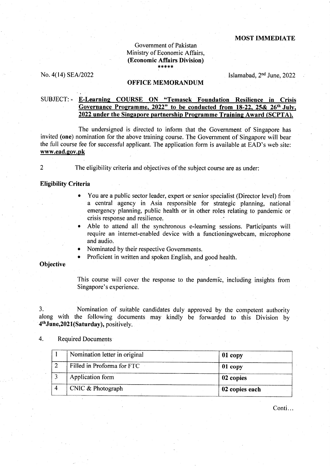## MOST IMMEDIATE

### Government of Pakistan Ministry of Economic Affairs, (Economic Affairs Division)  $* * * * *$

No.  $4(14)$  SEA/2022 **Islamabad**,  $2<sup>nd</sup>$  June, 2022

### OFFICE MEMORANDUM

# SUBJECT: - E-Learnine COURSE ON "Temasek Foundation Resilience in Crisis Governance Programme.  $2022$ " to be conducted from  $18-22$ .  $25\& 26$ <sup>th</sup> July. 2022 under the Singapore partnership Programme Training Award (SCPTA).

The undersigned is directed to inform that the Government of Singapore has invited (one) nomination for the above training course. The Government of Singapore will bear the full course fee for successful applicant. The application form is available at EAD's web site: www.ead.gov.pk

2

The eligibility criteria and objectives of the subject course are as under:

### Eligibility Criteria

- You are a public sector leader, expert or senior specialist (Director level) from a central agency in Asia responsible for strategic planning, national emergency planning, public health or in other roles relating to pandemic or crisis response and resilience.
- Able to attend all the synchronous e-learning sessions. Participants will require an internet-enabled device with a functioningwebcam, microphone and audio.
- Nominated by their respective Governments.
- Proficient in written and spoken English, and good health.

### **Objective**

This course will cover the response to the pandemic, including insights from Singapore's experience.

3. Nomination of suitable candidates duly approved by the competent authority along with the following documents may kindly be forwarded to this Division by 4<sup>th</sup> June, 2021 (Saturday), positively.

## 4. Required Documents

| Nomination letter in original | $01$ copy      |
|-------------------------------|----------------|
| Filled in Proforma for FTC    | 01 copy        |
| Application form              | 02 copies      |
| CNIC & Photograph             | 02 copies each |

Conti...